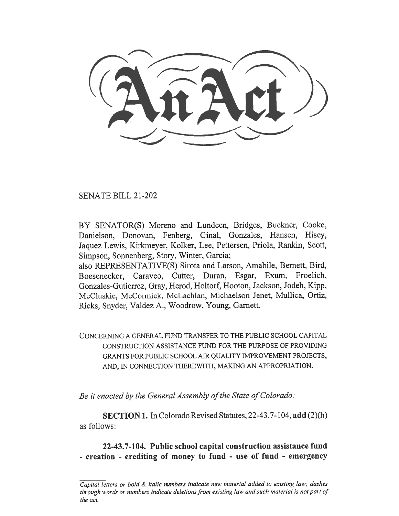SENATE BILL 21-202

BY SENATOR(S) Moreno and Lundeen, Bridges, Buckner, Cooke, Danielson, Donovan, Fenberg, Ginal, Gonzales, Hansen, Hisey, Jaquez Lewis, Kirkmeyer, Kolker, Lee, Pettersen, Priola, Rankin, Scott, Simpson, Sonnenberg, Story, Winter, Garcia;

also REPRESENTATIVE(S) Sirota and Larson, Amabile, Bernett, Bird, Boesenecker, Caraveo, Cutter, Duran, Esgar, Exum, Froelich, Gonzales-Gutierrez, Gray, Herod, Holtorf, Hooton, Jackson, Jodeh, Kipp, McCluskie, McCormick, McLachlan, Michaelson Jenet, Mullica, Ortiz, Ricks, Snyder, Valdez A., Woodrow, Young, Garnett.

CONCERNING A GENERAL FUND TRANSFER TO THE PUBLIC SCHOOL CAPITAL CONSTRUCTION ASSISTANCE FUND FOR THE PURPOSE OF PROVIDING GRANTS FOR PUBLIC SCHOOL AIR QUALITY IMPROVEMENT PROJECTS, AND, IN CONNECTION THEREWITH, MAKING AN APPROPRIATION.

Be it enacted by the General Assembly of the State of Colorado:

SECTION 1. In Colorado Revised Statutes, 22-43.7-104, add (2)(h) as follows:

22-43.7-104. Public school capital construction assistance fund - creation - crediting of money to fund - use of fund - emergency

Capital letters or bold & italic numbers indicate new material added to existing law; dashes through words or numbers indicate deletions from existing law and such material is not part of the act.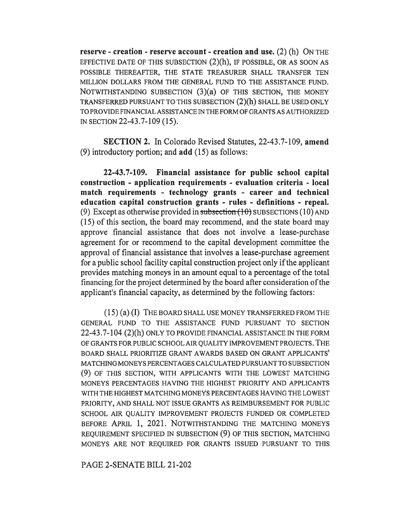reserve - creation - reserve account - creation and use. (2) (h) ON THE EFFECTIVE DATE OF THIS SUBSECTION (2)(h), IF POSSIBLE, OR AS SOON AS POSSIBLE THEREAFTER, THE STATE TREASURER SHALL TRANSFER TEN MILLION DOLLARS FROM THE GENERAL FUND TO THE ASSISTANCE FUND. NOTWITHSTANDING SUBSECTION (3)(a) OF THIS SECTION, THE MONEY TRANSFERRED PURSUANT TO THIS SUBSECTION (2)(h) SHALL BE USED ONLY TO PROVIDE FINANCIAL ASSISTANCE IN THE FORM OF GRANTS AS AUTHORIZED IN SECTION 22-43.7-109 (15).

SECTION 2. In Colorado Revised Statutes, 22-43.7-109, amend (9) introductory portion; and add (15) as follows:

22-43.7-109. Financial assistance for public school capital construction - application requirements - evaluation criteria - local match requirements - technology grants - career and technical education capital construction grants - rules - definitions - repeal. (9) Except as otherwise provided in subsection  $(10)$  SUBSECTIONS (10) AND (15) of this section, the board may recommend, and the state board may approve financial assistance that does not involve a lease-purchase agreement for or recommend to the capital development committee the approval of financial assistance that involves a lease-purchase agreement for a public school facility capital construction project only if the applicant provides matching moneys in an amount equal to a percentage of the total financing for the project determined by the board after consideration of the applicant's financial capacity, as determined by the following factors:

(15) (a) (I) THE BOARD SHALL USE MONEY TRANSFERRED FROM THE GENERAL FUND TO THE ASSISTANCE FUND PURSUANT TO SECTION 22-43.7-104 (2)(h) ONLY TO PROVIDE FINANCIAL ASSISTANCE IN THE FORM OF GRANTS FOR PUBLIC SCHOOL AIR QUALITY IMPROVEMENT PROJECTS. THE BOARD SHALL PRIORITIZE GRANT AWARDS BASED ON GRANT APPLICANTS' MATCHING MONEYS PERCENTAGES CALCULATED PURSUANT TO SUBSECTION (9) OF THIS SECTION, WITH APPLICANTS WITH THE LOWEST MATCHING MONEYS PERCENTAGES HAVING THE HIGHEST PRIORITY AND APPLICANTS WITH THE HIGHEST MATCHING MONEYS PERCENTAGES HAVING THE LOWEST PRIORITY, AND SHALL NOT ISSUE GRANTS AS REIMBURSEMENT FOR PUBLIC SCHOOL AIR QUALITY IMPROVEMENT PROJECTS FUNDED OR COMPLETED BEFORE APRIL 1, 2021. NOTWITHSTANDING THE MATCHING MONEYS REQUIREMENT SPECIFIED IN SUBSECTION (9) OF THIS SECTION, MATCHING MONEYS ARE NOT REQUIRED FOR GRANTS ISSUED PURSUANT TO THIS

PAGE 2-SENATE BILL 21-202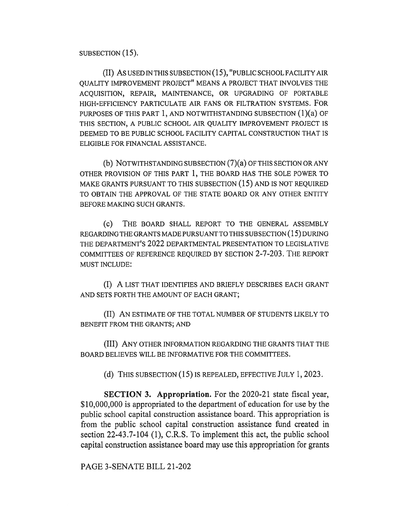SUBSECTION (15).

(II) AS USED IN THIS SUBSECTION (15), "PUBLIC SCHOOL FACILITY AIR QUALITY IMPROVEMENT PROJECT" MEANS A PROJECT THAT INVOLVES THE ACQUISITION, REPAIR, MAINTENANCE, OR UPGRADING OF PORTABLE HIGH-EFFICIENCY PARTICULATE AIR FANS OR FILTRATION SYSTEMS. FOR PURPOSES OF THIS PART 1, AND NOTWITHSTANDING SUBSECTION (1)(a) OF THIS SECTION, A PUBLIC SCHOOL AIR QUALITY IMPROVEMENT PROJECT IS DEEMED TO BE PUBLIC SCHOOL FACILITY CAPITAL CONSTRUCTION THAT IS ELIGIBLE FOR FINANCIAL ASSISTANCE.

(b) NOTWITHSTANDING SUBSECTION (7)(a) OF THIS SECTION OR ANY OTHER PROVISION OF THIS PART 1, THE BOARD HAS THE SOLE POWER TO MAKE GRANTS PURSUANT TO THIS SUBSECTION (15) AND IS NOT REQUIRED TO OBTAIN THE APPROVAL OF THE STATE BOARD OR ANY OTHER ENTITY BEFORE MAKING SUCH GRANTS.

(C) THE BOARD SHALL REPORT TO THE GENERAL ASSEMBLY REGARDING THE GRANTS MADE PURSUANT TO THIS SUBSECTION ( 1 5) DURING THE DEPARTMENT'S 2022 DEPARTMENTAL PRESENTATION TO LEGISLATIVE COMMITTEES OF REFERENCE REQUIRED BY SECTION 2-7-203. THE REPORT MUST INCLUDE:

(I) A LIST THAT IDENTIFIES AND BRIEFLY DESCRIBES EACH GRANT AND SETS FORTH THE AMOUNT OF EACH GRANT;

(II) AN ESTIMATE OF THE TOTAL NUMBER OF STUDENTS LIKELY TO BENEFIT FROM THE GRANTS; AND

(III) ANY OTHER INFORMATION REGARDING THE GRANTS THAT THE BOARD BELIEVES WILL BE INFORMATIVE FOR THE COMMITTEES.

(d) THIS SUBSECTION (15) IS REPEALED, EFFECTIVE JULY 1, 2023.

SECTION 3. Appropriation. For the 2020-21 state fiscal year, \$10,000,000 is appropriated to the department of education for use by the public school capital construction assistance board. This appropriation is from the public school capital construction assistance fund created in section 22-43.7-104 (1), C.R.S. To implement this act, the public school capital construction assistance board may use this appropriation for grants

PAGE 3-SENATE BILL 21-202